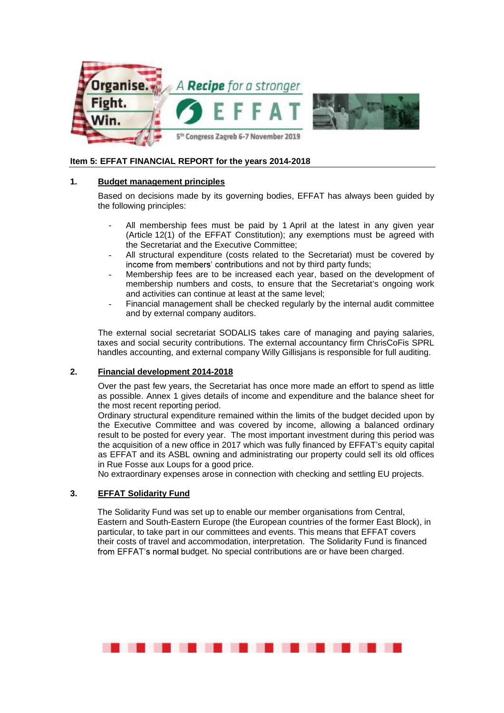

### **Item 5: EFFAT FINANCIAL REPORT for the years 2014-2018**

### **1. Budget management principles**

Based on decisions made by its governing bodies, EFFAT has always been guided by the following principles:

- All membership fees must be paid by 1 April at the latest in any given year (Article 12(1) of the EFFAT Constitution); any exemptions must be agreed with the Secretariat and the Executive Committee;
- All structural expenditure (costs related to the Secretariat) must be covered by income from members' contributions and not by third party funds;
- Membership fees are to be increased each year, based on the development of membership numbers and costs, to ensure that the Secretariat's ongoing work and activities can continue at least at the same level;
- Financial management shall be checked regularly by the internal audit committee and by external company auditors.

The external social secretariat SODALIS takes care of managing and paying salaries, taxes and social security contributions. The external accountancy firm ChrisCoFis SPRL handles accounting, and external company Willy Gillisjans is responsible for full auditing.

#### **2. Financial development 2014-2018**

Over the past few years, the Secretariat has once more made an effort to spend as little as possible. Annex 1 gives details of income and expenditure and the balance sheet for the most recent reporting period.

Ordinary structural expenditure remained within the limits of the budget decided upon by the Executive Committee and was covered by income, allowing a balanced ordinary result to be posted for every year. The most important investment during this period was the acquisition of a new office in 2017 which was fully financed by EFFAT s equity capital as EFFAT and its ASBL owning and administrating our property could sell its old offices in Rue Fosse aux Loups for a good price.

No extraordinary expenses arose in connection with checking and settling EU projects.

#### **3. EFFAT Solidarity Fund**

The Solidarity Fund was set up to enable our member organisations from Central, Eastern and South-Eastern Europe (the European countries of the former East Block), in particular, to take part in our committees and events. This means that EFFAT covers their costs of travel and accommodation, interpretation. The Solidarity Fund is financed from EFFAT's normal budget. No special contributions are or have been charged.

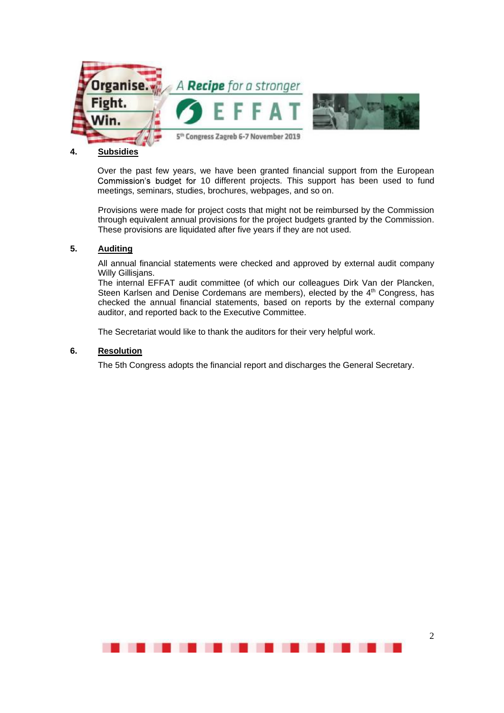

### **4. Subsidies**

Over the past few years, we have been granted financial support from the European Commission's budget for 10 different projects. This support has been used to fund meetings, seminars, studies, brochures, webpages, and so on.

Provisions were made for project costs that might not be reimbursed by the Commission through equivalent annual provisions for the project budgets granted by the Commission. These provisions are liquidated after five years if they are not used.

#### **5. Auditing**

All annual financial statements were checked and approved by external audit company Willy Gillisjans.

The internal EFFAT audit committee (of which our colleagues Dirk Van der Plancken, Steen Karlsen and Denise Cordemans are members), elected by the 4<sup>th</sup> Congress, has checked the annual financial statements, based on reports by the external company auditor, and reported back to the Executive Committee.

The Secretariat would like to thank the auditors for their very helpful work.

### **6. Resolution**

The 5th Congress adopts the financial report and discharges the General Secretary.